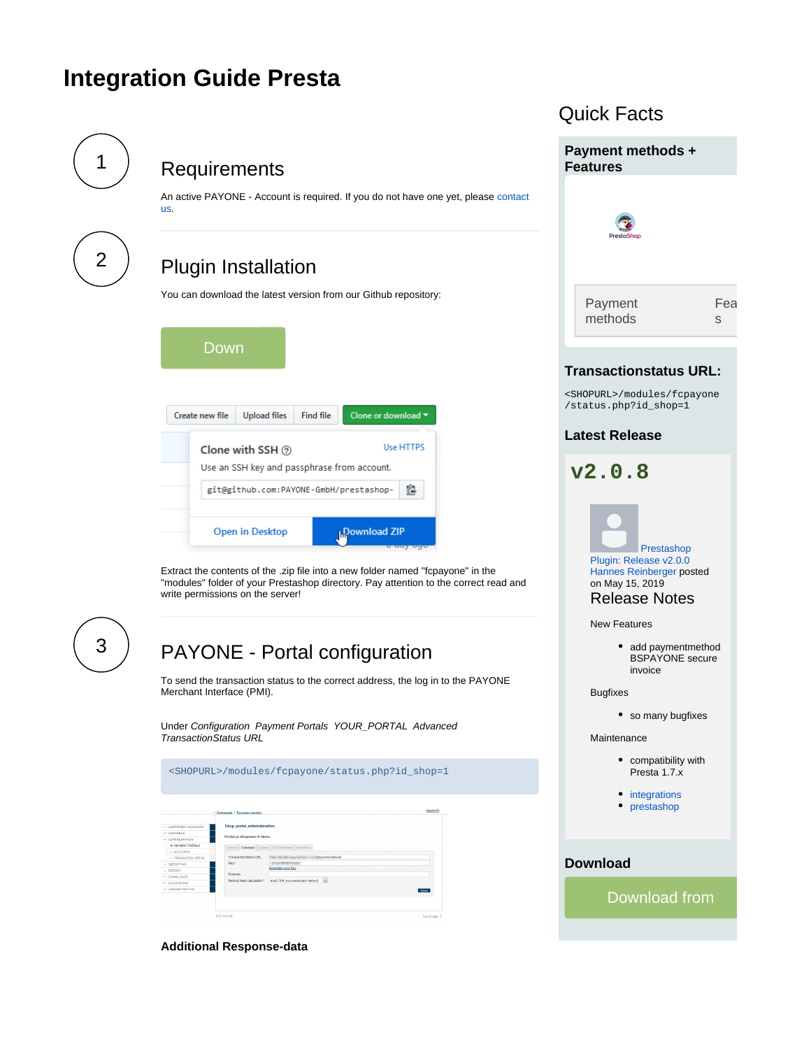# <span id="page-0-3"></span>**Integration Guide Presta**

<span id="page-0-1"></span><span id="page-0-0"></span>

Download from

Fea s

<span id="page-0-2"></span>**Additional Response-data**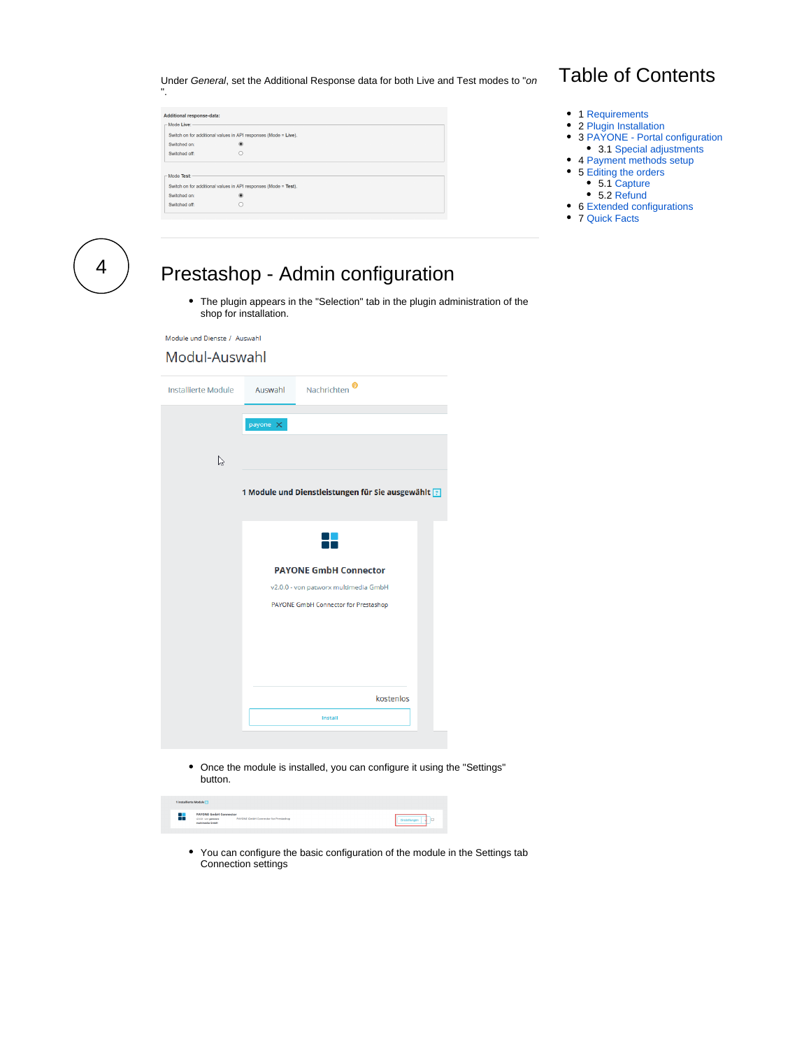Under General, set the Additional Response data for both Live and Test modes to "on

| <b>Additional response-data:</b> |                                                                 |  |  |  |  |
|----------------------------------|-----------------------------------------------------------------|--|--|--|--|
| Mode Live:                       |                                                                 |  |  |  |  |
|                                  | Switch on for additional values in API responses (Mode = Live). |  |  |  |  |
| Switched on:                     | ⊛                                                               |  |  |  |  |
| Switched off:                    | c                                                               |  |  |  |  |
|                                  |                                                                 |  |  |  |  |
| Mode Test:                       |                                                                 |  |  |  |  |
|                                  | Switch on for additional values in API responses (Mode = Test). |  |  |  |  |
| Switched on:<br>Switched off:    | ۸                                                               |  |  |  |  |

# Table of Contents

- 1 [Requirements](#page-0-0)
- 2 [Plugin Installation](#page-0-1)
- 3 [PAYONE Portal configuration](#page-0-2) • 3.1 [Special adjustments](#page-2-0)
- 4 [Payment methods setup](#page-3-0)
	- 5 [Editing the orders](#page-4-0)
		- 5.1 [Capture](#page-4-1)
		- 5.2 [Refund](#page-5-0)
- 6 [Extended configurations](#page-5-1)
- 7 [Quick Facts](#page-0-3)

4

".

# Prestashop - Admin configuration

The plugin appears in the "Selection" tab in the plugin administration of the shop for installation.

Module und Dienste / Auswahl

#### Modul-Auswahl

| Installierte Module Auswahl Nachrichten |                 | Θ                                                  |
|-----------------------------------------|-----------------|----------------------------------------------------|
|                                         |                 |                                                    |
|                                         | payone $\times$ |                                                    |
| B                                       |                 |                                                    |
|                                         |                 |                                                    |
|                                         |                 | 1 Module und Dienstleistungen für Sie ausgewählt ? |
|                                         |                 |                                                    |
|                                         |                 |                                                    |
|                                         |                 | <b>PAYONE GmbH Connector</b>                       |
|                                         |                 | v2.0.0 - von patworx multimedia GmbH               |
|                                         |                 | PAYONE GmbH Connector for Prestashop               |
|                                         |                 |                                                    |
|                                         |                 |                                                    |
|                                         |                 |                                                    |
|                                         |                 |                                                    |
|                                         |                 | kostenlos                                          |
|                                         |                 | <b>Install</b>                                     |
|                                         |                 |                                                    |

Once the module is installed, you can configure it using the "Settings" button.

| 1 installierte Module <sup>[1]</sup> |                                                                              |                                      |  |
|--------------------------------------|------------------------------------------------------------------------------|--------------------------------------|--|
| т                                    | <b>PAYONE GmbH Connector</b><br>$v2.0.0$ - von patierers<br>multimedia GrebH | PAYONE GmbH Connector for Prestashop |  |

You can configure the basic configuration of the module in the Settings tab  $\bullet$ Connection settings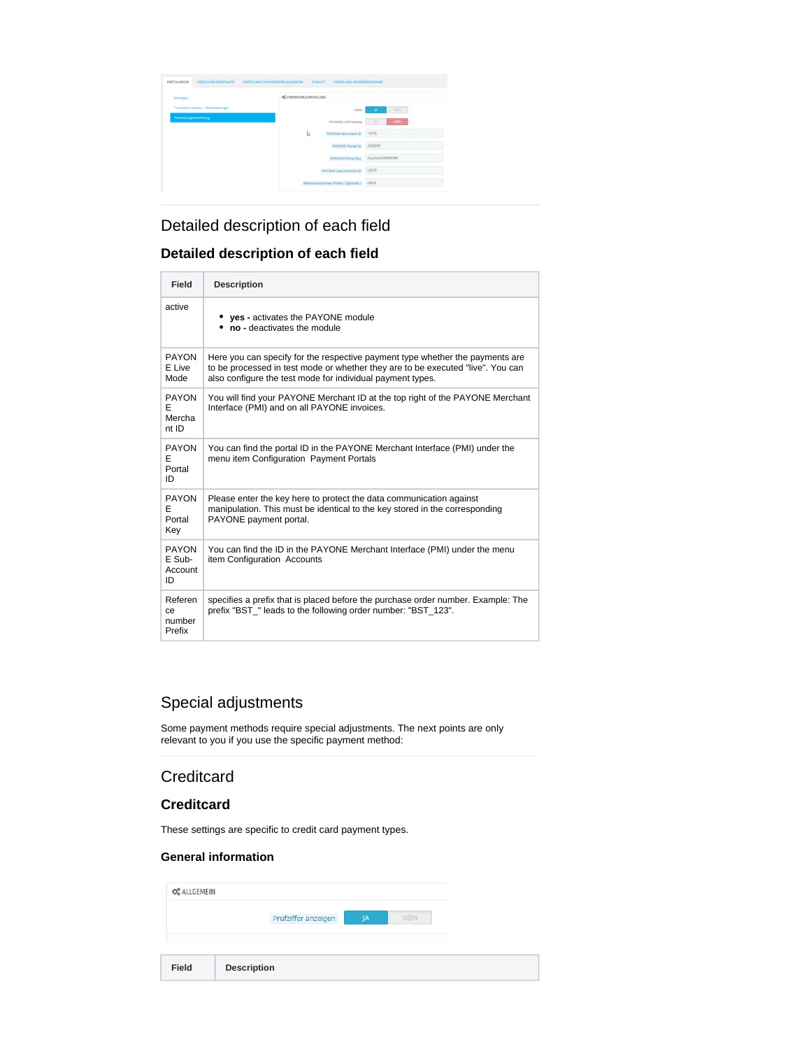| EINSTELLUNG ZAHLUNGSARTEN (ALLGEMEIN)<br><b>FINSTELLUNGEN</b><br><b>EINSTELLUNG KREDITKARTE</b> | <b>E-WALLET</b>                  | <b>EINSTELLUNG ONLINEÜBERWEISUNG</b> |
|-------------------------------------------------------------------------------------------------|----------------------------------|--------------------------------------|
| Sonstiges                                                                                       | <b>OF VERBINDUNGSEINSTELLUNG</b> |                                      |
| Transaktionsstatus - Weiterleitungen                                                            |                                  | <b>JA</b><br><b>NEIN</b><br>Aktiv    |
| Verbindungseinstellung                                                                          | PAYONE LIVE Modus                | NEIN.<br><b>JA</b>                   |
|                                                                                                 | D<br>PAYONE Merchant ID          | <b>Well</b>                          |
|                                                                                                 | <b>PAYONE Portal ID</b>          | <b>ALCOHO</b>                        |
|                                                                                                 | <b>PAYONE Portal Key</b>         | <b>Department of the</b>             |
|                                                                                                 | PAYONE Sub-Account ID            | 2679                                 |
|                                                                                                 | Referenznummer Präfix (Optional) | -Palm                                |
|                                                                                                 |                                  |                                      |

## Detailed description of each field

### **Detailed description of each field**

| <b>Field</b>                         | <b>Description</b>                                                                                                                                                                                                             |
|--------------------------------------|--------------------------------------------------------------------------------------------------------------------------------------------------------------------------------------------------------------------------------|
| active                               | <b>yes</b> - activates the PAYONE module<br>no - deactivates the module                                                                                                                                                        |
| PAYON<br>E Live<br>Mode              | Here you can specify for the respective payment type whether the payments are<br>to be processed in test mode or whether they are to be executed "live". You can<br>also configure the test mode for individual payment types. |
| <b>PAYON</b><br>F<br>Mercha<br>nt ID | You will find your PAYONE Merchant ID at the top right of the PAYONE Merchant<br>Interface (PMI) and on all PAYONE invoices.                                                                                                   |
| <b>PAYON</b><br>F<br>Portal<br>ID    | You can find the portal ID in the PAYONE Merchant Interface (PMI) under the<br>menu item Configuration Payment Portals                                                                                                         |
| <b>PAYON</b><br>E<br>Portal<br>Key   | Please enter the key here to protect the data communication against<br>manipulation. This must be identical to the key stored in the corresponding<br>PAYONE payment portal.                                                   |
| PAYON<br>E Sub-<br>Account<br>ID     | You can find the ID in the PAYONE Merchant Interface (PMI) under the menu<br>item Configuration Accounts                                                                                                                       |
| Referen<br>сe<br>number<br>Prefix    | specifies a prefix that is placed before the purchase order number. Example: The<br>prefix "BST " leads to the following order number: "BST 123".                                                                              |

## <span id="page-2-0"></span>Special adjustments

Some payment methods require special adjustments. The next points are only relevant to you if you use the specific payment method:

## **Creditcard**

### **Creditcard**

These settings are specific to credit card payment types.

#### **General information**

| <b>Field</b>        | <b>Description</b>  |    |             |
|---------------------|---------------------|----|-------------|
|                     | Prüfziffer anzeigen | IA | <b>NEIN</b> |
| <b>CC</b> ALLGEMEIN |                     |    |             |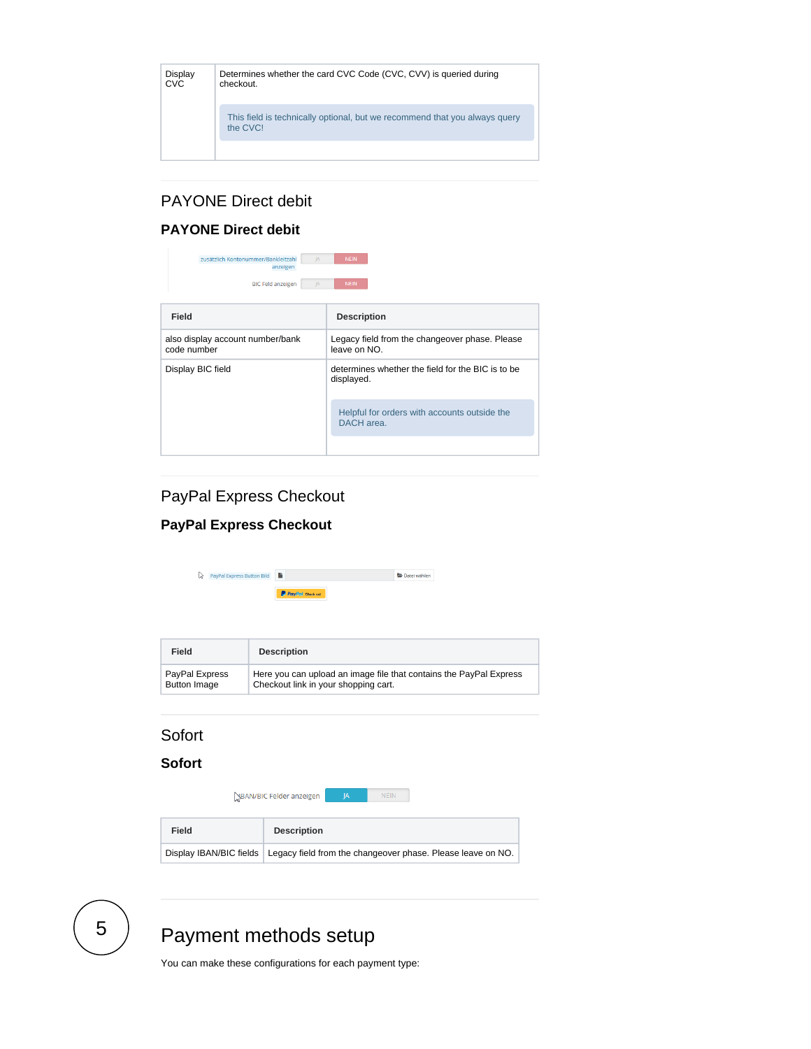| Display<br><b>CVC</b> | Determines whether the card CVC Code (CVC, CVV) is queried during<br>checkout.         |
|-----------------------|----------------------------------------------------------------------------------------|
|                       | This field is technically optional, but we recommend that you always query<br>the CVC! |
|                       |                                                                                        |

## PAYONE Direct debit

### **PAYONE Direct debit**

| zusätzlich Kontonummer/Bankleitzahl<br><b>IA</b><br>anzeigen<br><b>BIC Feld anzeigen</b><br>JA | <b>NEIN</b><br><b>NEIN</b>                                      |  |  |
|------------------------------------------------------------------------------------------------|-----------------------------------------------------------------|--|--|
| Field                                                                                          | <b>Description</b>                                              |  |  |
| also display account number/bank<br>code number                                                | Legacy field from the changeover phase. Please<br>leave on NO.  |  |  |
| Display BIC field                                                                              | determines whether the field for the BIC is to be<br>displayed. |  |  |
|                                                                                                | Helpful for orders with accounts outside the<br>DACH area.      |  |  |
|                                                                                                |                                                                 |  |  |

## PayPal Express Checkout

### **PayPal Express Checkout**

| ↳<br>PayPal Express Button Bild       | n<br>Datei wählen                                                                                          |
|---------------------------------------|------------------------------------------------------------------------------------------------------------|
|                                       | P PayPal Check out                                                                                         |
|                                       |                                                                                                            |
|                                       |                                                                                                            |
|                                       |                                                                                                            |
| Field                                 | <b>Description</b>                                                                                         |
| PayPal Express<br><b>Button Image</b> | Here you can upload an image file that contains the PayPal Express<br>Checkout link in your shopping cart. |
|                                       |                                                                                                            |
|                                       |                                                                                                            |
| Sofort                                |                                                                                                            |
| <b>Sofort</b>                         |                                                                                                            |
|                                       |                                                                                                            |
|                                       | BAN/BIC Felder anzeigen<br><b>NEIN</b><br> A                                                               |
|                                       |                                                                                                            |
| Field                                 | <b>Description</b>                                                                                         |
|                                       |                                                                                                            |
| Display IBAN/BIC fields               | Legacy field from the changeover phase. Please leave on NO.                                                |
|                                       |                                                                                                            |
|                                       |                                                                                                            |

<span id="page-3-0"></span>5

# Payment methods setup

You can make these configurations for each payment type: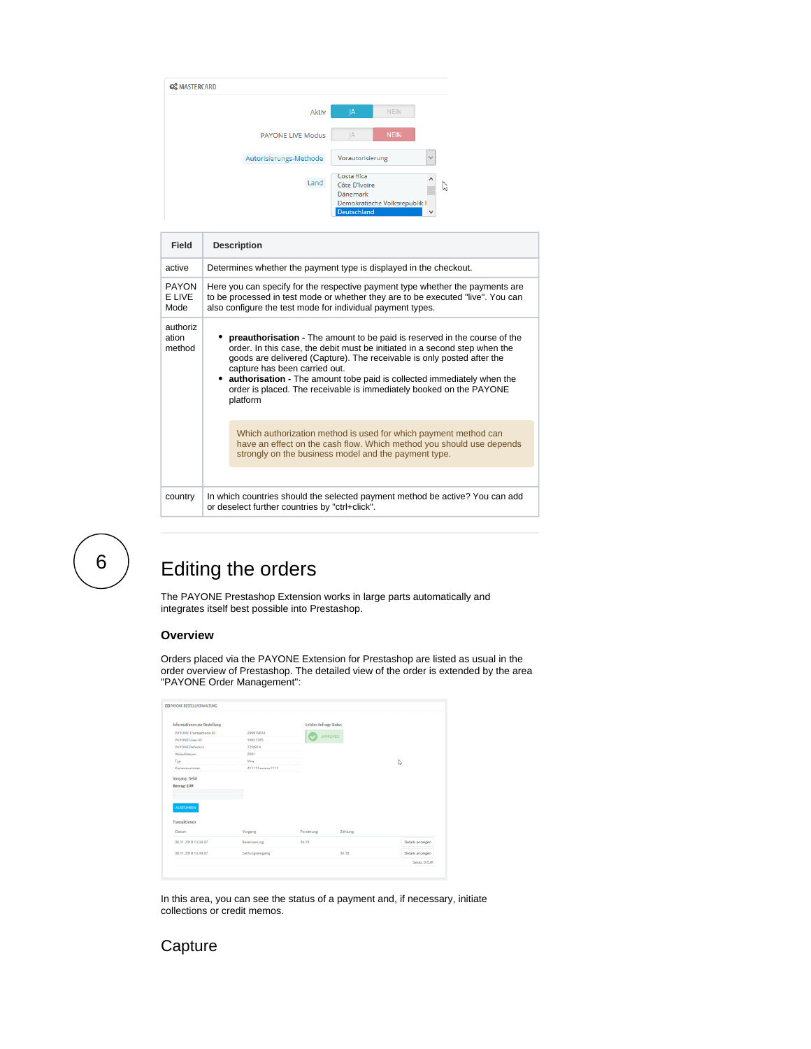| <b>CC</b> MASTERCARD |                          |                                                               |                               |              |
|----------------------|--------------------------|---------------------------------------------------------------|-------------------------------|--------------|
|                      | Aktiv                    | JA                                                            | <b>NEIN</b>                   |              |
|                      | <b>PAYONE LIVE Modus</b> | IA                                                            | <b>NEIN</b>                   |              |
|                      | Autorisierungs-Methode   | Vorautorisierung                                              |                               | $\checkmark$ |
|                      | Land                     | Costa Rica<br>Côte D'Ivoire<br><b>Dänemark</b><br>Deutschland | Demokratische Volksrepublik ł | $\wedge$     |

| Field                          | <b>Description</b>                                                                                                                                                                                                                                                                                                                                                                                                                  |
|--------------------------------|-------------------------------------------------------------------------------------------------------------------------------------------------------------------------------------------------------------------------------------------------------------------------------------------------------------------------------------------------------------------------------------------------------------------------------------|
| active                         | Determines whether the payment type is displayed in the checkout.                                                                                                                                                                                                                                                                                                                                                                   |
| <b>PAYON</b><br>E LIVE<br>Mode | Here you can specify for the respective payment type whether the payments are<br>to be processed in test mode or whether they are to be executed "live". You can<br>also configure the test mode for individual payment types.                                                                                                                                                                                                      |
| authoriz<br>ation<br>method    | • preauthorisation - The amount to be paid is reserved in the course of the<br>order. In this case, the debit must be initiated in a second step when the<br>goods are delivered (Capture). The receivable is only posted after the<br>capture has been carried out.<br>• authorisation - The amount tobe paid is collected immediately when the<br>order is placed. The receivable is immediately booked on the PAYONE<br>platform |
|                                | Which authorization method is used for which payment method can<br>have an effect on the cash flow. Which method you should use depends<br>strongly on the business model and the payment type.                                                                                                                                                                                                                                     |
| country                        | In which countries should the selected payment method be active? You can add<br>or deselect further countries by "ctrl+click".                                                                                                                                                                                                                                                                                                      |

<span id="page-4-0"></span>6

# Editing the orders

The PAYONE Prestashop Extension works in large parts automatically and integrates itself best possible into Prestashop.

#### **Overview**

Orders placed via the PAYONE Extension for Prestashop are listed as usual in the order overview of Prestashop. The detailed view of the order is extended by the area "PAYONE Order Management":

| <b>EEI PAYONE BESTELLVERWALTUNG</b> |                  |                        |         |                  |
|-------------------------------------|------------------|------------------------|---------|------------------|
| <b>Informationen zur Bestellung</b> |                  | Letzter Anfrage Status |         |                  |
| <b>PAYONE Transaktions-ID</b>       | 299979818        | APPROVED               |         |                  |
| <b>PAYONE User-ID</b>               | 19921765         |                        |         |                  |
| <b>PAYONE Referenz</b>              | 72fd914          |                        |         |                  |
| Ablaufdatum                         | 2001             |                        |         |                  |
| Typ                                 | Visa             |                        |         | r,               |
| Kartennummer                        | 411111xxxxxx1111 |                        |         |                  |
| <b>Betrag: EUR</b>                  |                  |                        |         |                  |
| <b>AUSFÜHREN</b><br>Transaktionen   |                  |                        |         |                  |
| Datum                               | Vorgang          | Forderung              | Zahlung |                  |
| 08.11.2018 13:34:37                 | Reservierung     | 34.18                  |         | Details anzeigen |
| 08.11.2018 13:34:37                 | Zahlungseingang  |                        | 34.18   | Details anzeigen |

In this area, you can see the status of a payment and, if necessary, initiate collections or credit memos.

## <span id="page-4-1"></span>**Capture**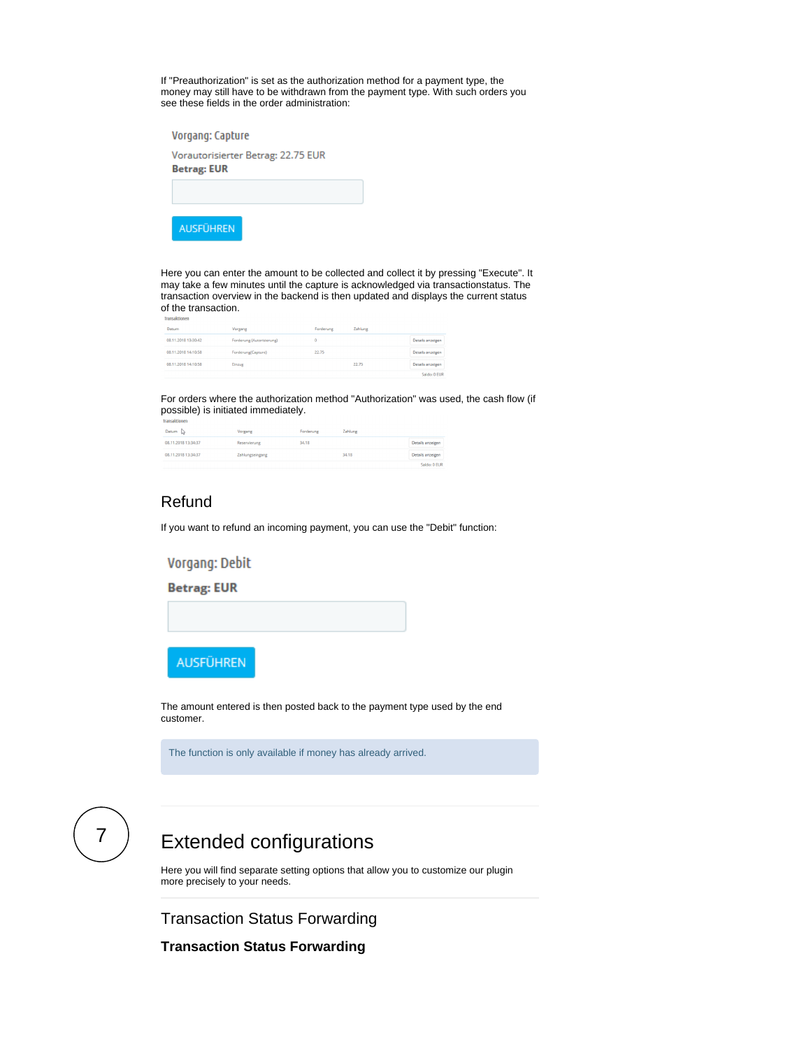If "Preauthorization" is set as the authorization method for a payment type, the money may still have to be withdrawn from the payment type. With such orders you see these fields in the order administration:

| Vorgang: Capture                                         |  |
|----------------------------------------------------------|--|
| Vorautorisierter Betrag: 22.75 EUR<br><b>Betrag: EUR</b> |  |
|                                                          |  |
| <b>AUSFÜHREN</b>                                         |  |

Here you can enter the amount to be collected and collect it by pressing "Execute". It may take a few minutes until the capture is acknowledged via transactionstatus. The transaction overview in the backend is then updated and displays the current status of the transaction.

| Datum               | Vorgang                   | Forderung | Zahlung |                  |
|---------------------|---------------------------|-----------|---------|------------------|
| 08.11.2018 13:30:42 | Forderung (Autorisierung) |           |         | Details anzeigen |
| 08.11.2018 14:10:58 | Forderung(Capture)        | 22.75     |         | Details anzeigen |
| 08.11.2018 14:10:58 | Einzug                    |           | 22.75   | Details anzeigen |
|                     |                           |           |         | Saldo: 0 EU      |

For orders where the authorization method "Authorization" was used, the cash flow (if possible) is initiated immediately.

| Datum $\triangleright$ | Vorgang         | Forderung | Zahlung |                  |
|------------------------|-----------------|-----------|---------|------------------|
| 08.11.2018 13:34:37    | Reservierung    | 34,18     |         | Details anzeigen |
| 08.11.2018 13:34:37    | Zahlungseingang |           | 34,18   | Details anzeigen |
|                        |                 |           |         |                  |

### <span id="page-5-0"></span>Refund

If you want to refund an incoming payment, you can use the "Debit" function:

Vorgang: Debit

**Betrag: EUR** 



The amount entered is then posted back to the payment type used by the end customer.

The function is only available if money has already arrived.

<span id="page-5-1"></span>

# Extended configurations

Here you will find separate setting options that allow you to customize our plugin more precisely to your needs.

Transaction Status Forwarding

**Transaction Status Forwarding**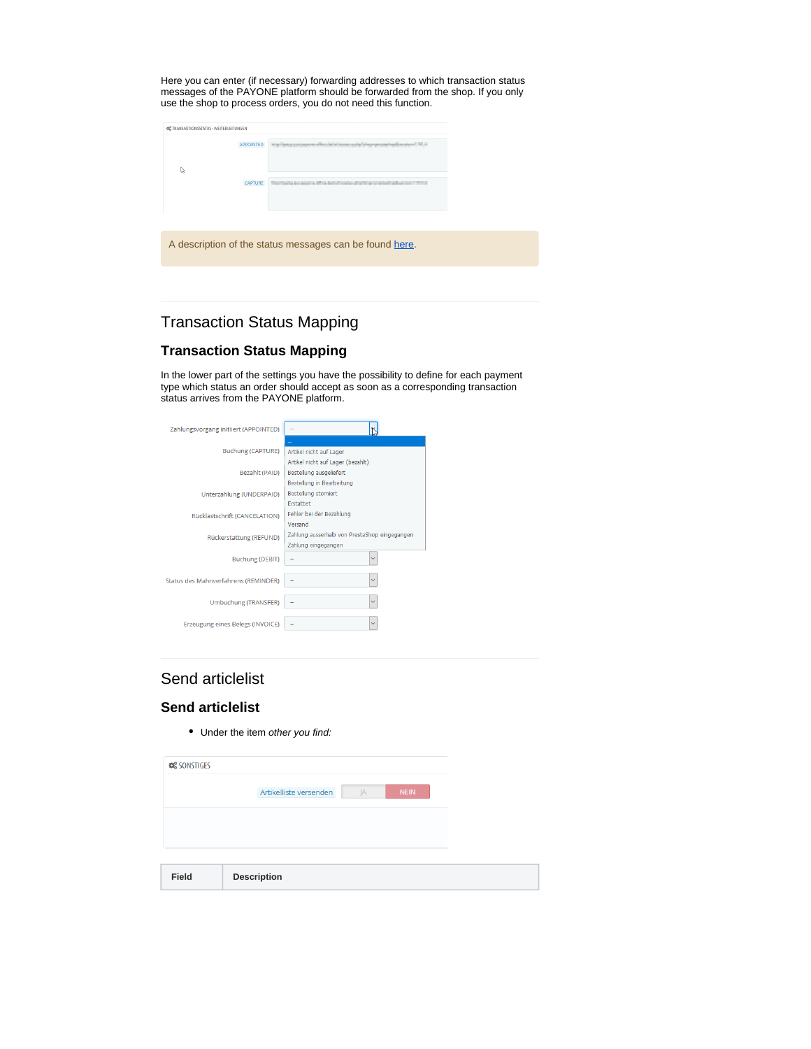Here you can enter (if necessary) forwarding addresses to which transaction status messages of the PAYONE platform should be forwarded from the shop. If you only use the shop to process orders, you do not need this function.

| OC TRANSAKTIONSSTATUS - WEITERLEITUNGEN |                  |                                                                                                                                                                                                                                |
|-----------------------------------------|------------------|--------------------------------------------------------------------------------------------------------------------------------------------------------------------------------------------------------------------------------|
|                                         | <b>APPOINTED</b> | With the Australian and Contact in the University of the University of the Australian and Contact in the University of the University of the University of the University of the University of the University of the Universit |
| r,                                      |                  |                                                                                                                                                                                                                                |
|                                         | CAPTURE          | The Control and policin all the definitions of an international spherican control                                                                                                                                              |
|                                         |                  |                                                                                                                                                                                                                                |
|                                         |                  |                                                                                                                                                                                                                                |
|                                         |                  | A description of the status messages can be found here.                                                                                                                                                                        |
|                                         |                  |                                                                                                                                                                                                                                |
|                                         |                  |                                                                                                                                                                                                                                |

## Transaction Status Mapping

### **Transaction Status Mapping**

In the lower part of the settings you have the possibility to define for each payment type which status an order should accept as soon as a corresponding transaction status arrives from the PAYONE platform.

| Zahlungsvorgang initiiert (APPOINTED) |                                               |  |
|---------------------------------------|-----------------------------------------------|--|
|                                       |                                               |  |
| <b>Buchung (CAPTURE)</b>              | Artikel nicht auf Lager                       |  |
|                                       | Artikel nicht auf Lager (bezahlt)             |  |
| Bezahlt (PAID)                        | Bestellung ausgeliefert                       |  |
|                                       | Bestellung in Bearbeitung                     |  |
| Unterzahlung (UNDERPAID)              | <b>Bestellung storniert</b>                   |  |
|                                       | <b>Frstattet</b>                              |  |
| Rücklastschrift (CANCELATION)         | Fehler bei der Bezahlung                      |  |
|                                       | Versand                                       |  |
| Rückerstattung (REFUND)               | Zahlung ausserhalb von PrestaShop eingegangen |  |
|                                       | Zahlung eingegangen                           |  |
| <b>Buchung (DEBIT)</b>                | $\checkmark$                                  |  |
| Status des Mahnverfahrens (REMINDER)  |                                               |  |
|                                       |                                               |  |
| <b>Umbuchung (TRANSFER)</b>           | $\vee$                                        |  |
|                                       |                                               |  |
| Erzeugung eines Belegs (INVOICE)      |                                               |  |
|                                       |                                               |  |

## Send articlelist

#### **Send articlelist**

• Under the item other you find:

| <b>CC</b> SONSTIGES |                              |             |
|---------------------|------------------------------|-------------|
|                     | Artikelliste versenden<br>JA | <b>NEIN</b> |
|                     |                              |             |
|                     |                              |             |
|                     |                              |             |
| Field               | <b>Description</b>           |             |